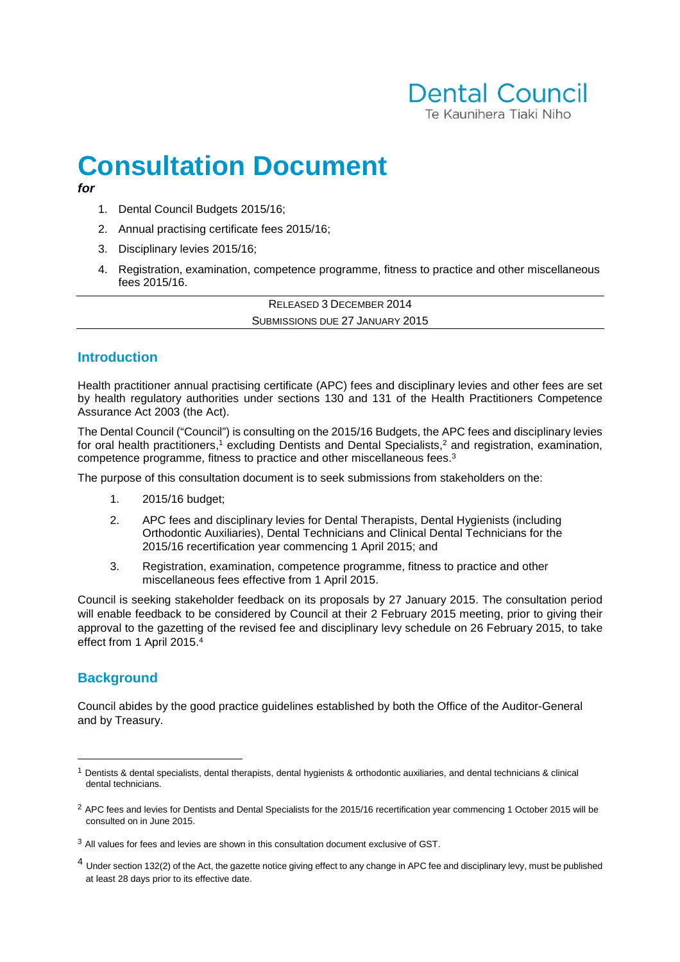## **Dental Council** Te Kaupihera Tiaki Niho

# **Consultation Document**

#### **for**

- 1. Dental Council Budgets 2015/16;
- 2. Annual practising certificate fees 2015/16;
- 3. Disciplinary levies 2015/16;
- 4. Registration, examination, competence programme, fitness to practice and other miscellaneous fees 2015/16.

RELEASED 3 DECEMBER 2014 SUBMISSIONS DUE 27 JANUARY 2015

## **Introduction**

Health practitioner annual practising certificate (APC) fees and disciplinary levies and other fees are set by health regulatory authorities under sections 130 and 131 of the Health Practitioners Competence Assurance Act 2003 (the Act).

The Dental Council ("Council") is consulting on the 2015/16 Budgets, the APC fees and disciplinary levies for oral health practitioners,<sup>1</sup> excluding Dentists and Dental Specialists,<sup>2</sup> and registration, examination, competence programme, fitness to practice and other miscellaneous fees.<sup>3</sup>

The purpose of this consultation document is to seek submissions from stakeholders on the:

- 1. 2015/16 budget;
- 2. APC fees and disciplinary levies for Dental Therapists, Dental Hygienists (including Orthodontic Auxiliaries), Dental Technicians and Clinical Dental Technicians for the 2015/16 recertification year commencing 1 April 2015; and
- 3. Registration, examination, competence programme, fitness to practice and other miscellaneous fees effective from 1 April 2015.

Council is seeking stakeholder feedback on its proposals by 27 January 2015. The consultation period will enable feedback to be considered by Council at their 2 February 2015 meeting, prior to giving their approval to the gazetting of the revised fee and disciplinary levy schedule on 26 February 2015, to take effect from 1 April 2015.<sup>4</sup>

## **Background**

 $\overline{a}$ 

Council abides by the good practice guidelines established by both the Office of the Auditor-General and by Treasury.

 $1$  Dentists & dental specialists, dental therapists, dental hygienists & orthodontic auxiliaries, and dental technicians & clinical dental technicians.

 $<sup>2</sup>$  APC fees and levies for Dentists and Dental Specialists for the 2015/16 recertification year commencing 1 October 2015 will be</sup> consulted on in June 2015.

 $3$  All values for fees and levies are shown in this consultation document exclusive of GST.

<sup>&</sup>lt;sup>4</sup> Under section 132(2) of the Act, the gazette notice giving effect to any change in APC fee and disciplinary levy, must be published at least 28 days prior to its effective date.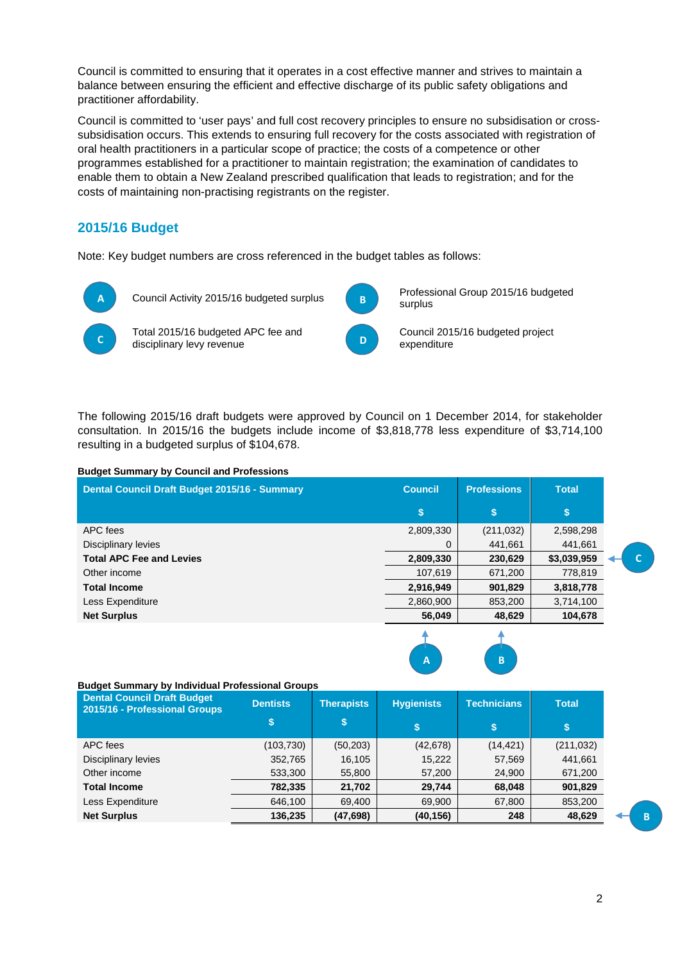Council is committed to ensuring that it operates in a cost effective manner and strives to maintain a balance between ensuring the efficient and effective discharge of its public safety obligations and practitioner affordability.

Council is committed to 'user pays' and full cost recovery principles to ensure no subsidisation or crosssubsidisation occurs. This extends to ensuring full recovery for the costs associated with registration of oral health practitioners in a particular scope of practice; the costs of a competence or other programmes established for a practitioner to maintain registration; the examination of candidates to enable them to obtain a New Zealand prescribed qualification that leads to registration; and for the costs of maintaining non-practising registrants on the register.

## **2015/16 Budget**

Note: Key budget numbers are cross referenced in the budget tables as follows:



The following 2015/16 draft budgets were approved by Council on 1 December 2014, for stakeholder consultation. In 2015/16 the budgets include income of \$3,818,778 less expenditure of \$3,714,100 resulting in a budgeted surplus of \$104,678.

#### **Budget Summary by Council and Professions**

| Dental Council Draft Budget 2015/16 - Summary | <b>Council</b> | <b>Professions</b> | <b>Total</b> |  |
|-----------------------------------------------|----------------|--------------------|--------------|--|
|                                               | S.             | S                  | S            |  |
| APC fees                                      | 2,809,330      | (211, 032)         | 2,598,298    |  |
| Disciplinary levies                           | 0              | 441,661            | 441,661      |  |
| <b>Total APC Fee and Levies</b>               | 2,809,330      | 230,629            | \$3,039,959  |  |
| Other income                                  | 107,619        | 671,200            | 778,819      |  |
| <b>Total Income</b>                           | 2,916,949      | 901,829            | 3,818,778    |  |
| Less Expenditure                              | 2,860,900      | 853,200            | 3,714,100    |  |
| <b>Net Surplus</b>                            | 56,049         | 48,629             | 104,678      |  |
|                                               |                |                    |              |  |



## **Budget Summary by Individual Professional Groups**

| <b>Dental Council Draft Budget</b><br>2015/16 - Professional Groups | <b>Dentists</b> | <b>Therapists</b> | <b>Hygienists</b> | <b>Technicians</b> | <b>Total</b> |
|---------------------------------------------------------------------|-----------------|-------------------|-------------------|--------------------|--------------|
|                                                                     |                 | \$                | \$                | S                  | \$           |
| APC fees                                                            | (103,730)       | (50, 203)         | (42, 678)         | (14, 421)          | (211, 032)   |
| Disciplinary levies                                                 | 352,765         | 16,105            | 15,222            | 57,569             | 441,661      |
| Other income                                                        | 533,300         | 55,800            | 57,200            | 24,900             | 671,200      |
| <b>Total Income</b>                                                 | 782,335         | 21,702            | 29,744            | 68,048             | 901,829      |
| Less Expenditure                                                    | 646,100         | 69,400            | 69,900            | 67,800             | 853,200      |
| <b>Net Surplus</b>                                                  | 136,235         | (47, 698)         | (40, 156)         | 248                | 48,629       |

B

C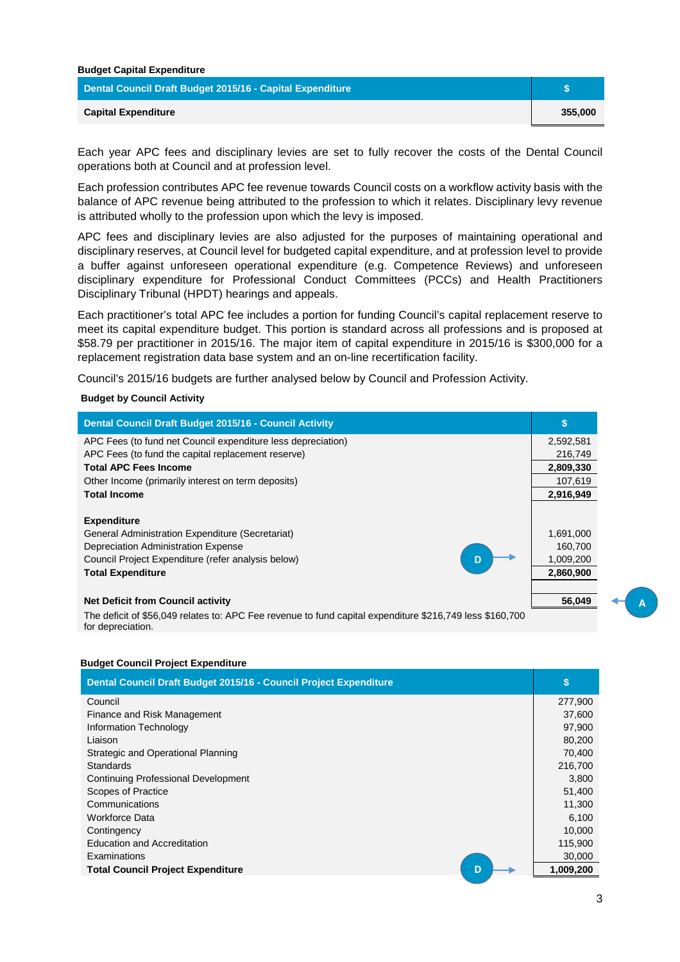| <b>Budget Capital Expenditure</b>                         |         |
|-----------------------------------------------------------|---------|
| Dental Council Draft Budget 2015/16 - Capital Expenditure |         |
| <b>Capital Expenditure</b>                                | 355,000 |

Each year APC fees and disciplinary levies are set to fully recover the costs of the Dental Council operations both at Council and at profession level.

Each profession contributes APC fee revenue towards Council costs on a workflow activity basis with the balance of APC revenue being attributed to the profession to which it relates. Disciplinary levy revenue is attributed wholly to the profession upon which the levy is imposed.

APC fees and disciplinary levies are also adjusted for the purposes of maintaining operational and disciplinary reserves, at Council level for budgeted capital expenditure, and at profession level to provide a buffer against unforeseen operational expenditure (e.g. Competence Reviews) and unforeseen disciplinary expenditure for Professional Conduct Committees (PCCs) and Health Practitioners Disciplinary Tribunal (HPDT) hearings and appeals.

Each practitioner's total APC fee includes a portion for funding Council's capital replacement reserve to meet its capital expenditure budget. This portion is standard across all professions and is proposed at \$58.79 per practitioner in 2015/16. The major item of capital expenditure in 2015/16 is \$300,000 for a replacement registration data base system and an on-line recertification facility.

Council's 2015/16 budgets are further analysed below by Council and Profession Activity.

## **Budget by Council Activity**

| Dental Council Draft Budget 2015/16 - Council Activity                                                |           |
|-------------------------------------------------------------------------------------------------------|-----------|
| APC Fees (to fund net Council expenditure less depreciation)                                          | 2,592,581 |
| APC Fees (to fund the capital replacement reserve)                                                    | 216,749   |
| <b>Total APC Fees Income</b>                                                                          | 2,809,330 |
| Other Income (primarily interest on term deposits)                                                    | 107,619   |
| <b>Total Income</b>                                                                                   | 2,916,949 |
|                                                                                                       |           |
| <b>Expenditure</b>                                                                                    |           |
| General Administration Expenditure (Secretariat)                                                      | 1,691,000 |
| Depreciation Administration Expense                                                                   | 160.700   |
| Council Project Expenditure (refer analysis below)                                                    | 1,009,200 |
| <b>Total Expenditure</b>                                                                              | 2,860,900 |
|                                                                                                       |           |
| <b>Net Deficit from Council activity</b>                                                              | 56,049    |
| The deficit of CEC 040 relates to: ADC Ese revenue to fund copital expenditure C216 740 less C160 700 |           |

The deficit of \$56,049 relates to: APC Fee revenue to fund capital expenditure \$216,749 less \$160,700 for depreciation.

## **Budget Council Project Expenditure**

| Dental Council Draft Budget 2015/16 - Council Project Expenditure | \$        |
|-------------------------------------------------------------------|-----------|
| Council                                                           | 277,900   |
| Finance and Risk Management                                       | 37,600    |
| Information Technology                                            | 97,900    |
| Liaison                                                           | 80,200    |
| Strategic and Operational Planning                                | 70,400    |
| <b>Standards</b>                                                  | 216,700   |
| <b>Continuing Professional Development</b>                        | 3,800     |
| Scopes of Practice                                                | 51,400    |
| Communications                                                    | 11,300    |
| <b>Workforce Data</b>                                             | 6,100     |
| Contingency                                                       | 10,000    |
| Education and Accreditation                                       | 115,900   |
| Examinations                                                      | 30,000    |
| <b>Total Council Project Expenditure</b><br>D                     | 1,009,200 |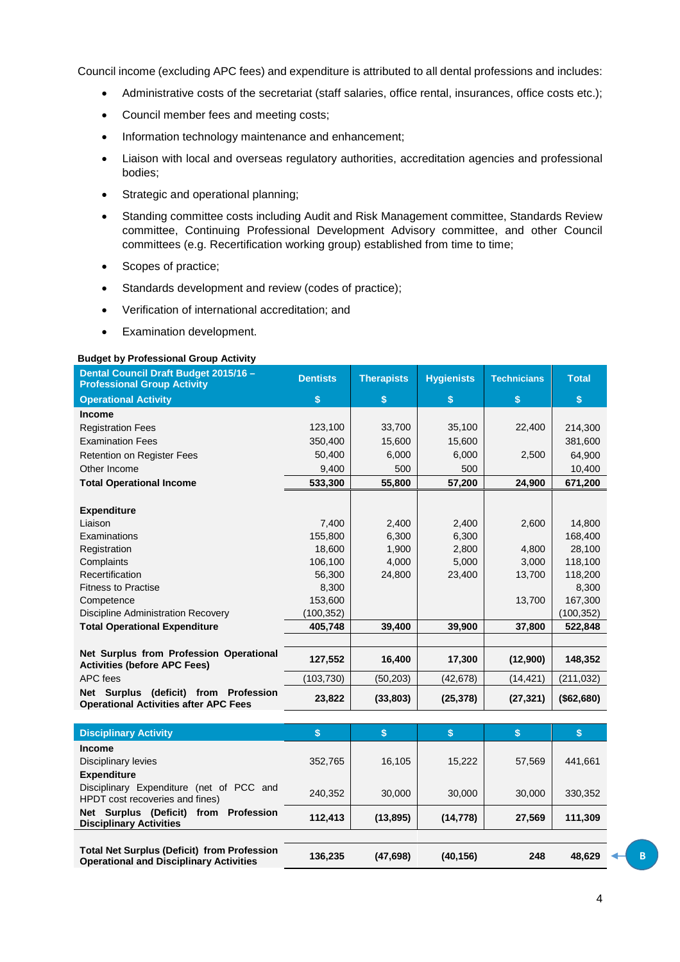Council income (excluding APC fees) and expenditure is attributed to all dental professions and includes:

- Administrative costs of the secretariat (staff salaries, office rental, insurances, office costs etc.);
- Council member fees and meeting costs;
- Information technology maintenance and enhancement;
- Liaison with local and overseas regulatory authorities, accreditation agencies and professional bodies;
- Strategic and operational planning;
- Standing committee costs including Audit and Risk Management committee, Standards Review committee, Continuing Professional Development Advisory committee, and other Council committees (e.g. Recertification working group) established from time to time;
- Scopes of practice;
- Standards development and review (codes of practice);
- Verification of international accreditation; and
- Examination development.

## **Budget by Professional Group Activity**

| Dental Council Draft Budget 2015/16 -<br><b>Professional Group Activity</b>                     | <b>Dentists</b> | <b>Therapists</b> | <b>Hygienists</b> | <b>Technicians</b> | <b>Total</b> |
|-------------------------------------------------------------------------------------------------|-----------------|-------------------|-------------------|--------------------|--------------|
| <b>Operational Activity</b>                                                                     | \$              | \$                | \$                | \$                 | \$           |
| Income                                                                                          |                 |                   |                   |                    |              |
| <b>Registration Fees</b>                                                                        | 123,100         | 33,700            | 35,100            | 22,400             | 214,300      |
| <b>Examination Fees</b>                                                                         | 350,400         | 15,600            | 15,600            |                    | 381,600      |
| <b>Retention on Register Fees</b>                                                               | 50,400          | 6,000             | 6,000             | 2,500              | 64,900       |
| Other Income                                                                                    | 9,400           | 500               | 500               |                    | 10,400       |
| <b>Total Operational Income</b>                                                                 | 533,300         | 55,800            | 57,200            | 24,900             | 671,200      |
|                                                                                                 |                 |                   |                   |                    |              |
| <b>Expenditure</b>                                                                              |                 |                   |                   |                    |              |
| Liaison                                                                                         | 7,400           | 2,400             | 2,400             | 2,600              | 14,800       |
| Examinations                                                                                    | 155,800         | 6,300             | 6,300             |                    | 168,400      |
| Registration                                                                                    | 18.600          | 1,900             | 2,800             | 4.800              | 28,100       |
| Complaints                                                                                      | 106,100         | 4,000             | 5,000             | 3,000              | 118,100      |
| Recertification                                                                                 | 56,300          | 24,800            | 23,400            | 13,700             | 118,200      |
| <b>Fitness to Practise</b>                                                                      | 8,300           |                   |                   |                    | 8,300        |
| Competence                                                                                      | 153,600         |                   |                   | 13,700             | 167,300      |
| <b>Discipline Administration Recovery</b>                                                       | (100, 352)      |                   |                   |                    | (100, 352)   |
| <b>Total Operational Expenditure</b>                                                            | 405,748         | 39,400            | 39,900            | 37,800             | 522,848      |
|                                                                                                 |                 |                   |                   |                    |              |
| Net Surplus from Profession Operational<br><b>Activities (before APC Fees)</b>                  | 127,552         | 16,400            | 17,300            | (12,900)           | 148,352      |
| APC fees                                                                                        | (103, 730)      | (50, 203)         | (42, 678)         | (14, 421)          | (211, 032)   |
| <b>Net Surplus</b><br>(deficit) from Profession<br><b>Operational Activities after APC Fees</b> | 23,822          | (33, 803)         | (25, 378)         | (27, 321)          | (\$62,680)   |

| <b>Disciplinary Activity</b>                                                                         | \$      |           | Ð         | ⊕      |         |
|------------------------------------------------------------------------------------------------------|---------|-----------|-----------|--------|---------|
| <b>Income</b>                                                                                        |         |           |           |        |         |
| Disciplinary levies                                                                                  | 352.765 | 16.105    | 15,222    | 57,569 | 441.661 |
| <b>Expenditure</b>                                                                                   |         |           |           |        |         |
| Disciplinary Expenditure (net of PCC and<br>HPDT cost recoveries and fines)                          | 240,352 | 30,000    | 30,000    | 30,000 | 330,352 |
| Net Surplus (Deficit) from Profession<br><b>Disciplinary Activities</b>                              | 112.413 | (13, 895) | (14, 778) | 27,569 | 111,309 |
|                                                                                                      |         |           |           |        |         |
| <b>Total Net Surplus (Deficit) from Profession</b><br><b>Operational and Disciplinary Activities</b> | 136,235 | (47, 698) | (40,156)  | 248    | 48,629  |

B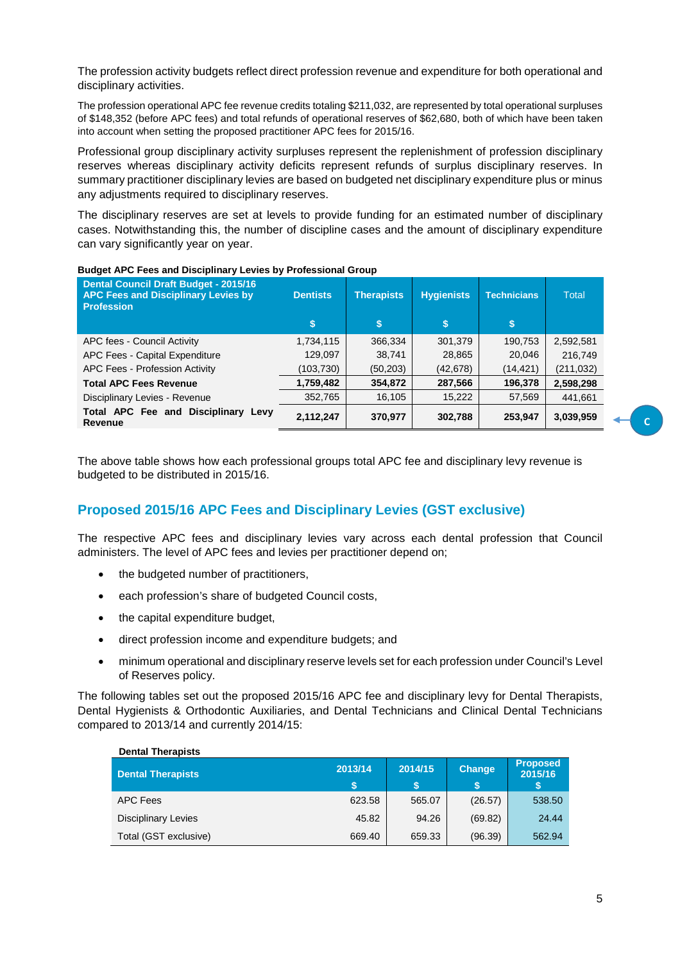The profession activity budgets reflect direct profession revenue and expenditure for both operational and disciplinary activities.

The profession operational APC fee revenue credits totaling \$211,032, are represented by total operational surpluses of \$148,352 (before APC fees) and total refunds of operational reserves of \$62,680, both of which have been taken into account when setting the proposed practitioner APC fees for 2015/16.

Professional group disciplinary activity surpluses represent the replenishment of profession disciplinary reserves whereas disciplinary activity deficits represent refunds of surplus disciplinary reserves. In summary practitioner disciplinary levies are based on budgeted net disciplinary expenditure plus or minus any adjustments required to disciplinary reserves.

The disciplinary reserves are set at levels to provide funding for an estimated number of disciplinary cases. Notwithstanding this, the number of discipline cases and the amount of disciplinary expenditure can vary significantly year on year.

| <b>Dental Council Draft Budget - 2015/16</b><br><b>APC Fees and Disciplinary Levies by</b><br><b>Profession</b> | <b>Dentists</b><br>S | <b>Therapists</b><br>\$ | <b>Hygienists</b><br>\$ | <b>Technicians</b><br>\$ | <b>Total</b> |
|-----------------------------------------------------------------------------------------------------------------|----------------------|-------------------------|-------------------------|--------------------------|--------------|
| APC fees - Council Activity                                                                                     | 1,734,115            | 366,334                 | 301,379                 | 190,753                  | 2,592,581    |
| APC Fees - Capital Expenditure                                                                                  | 129,097              | 38,741                  | 28,865                  | 20,046                   | 216,749      |
| APC Fees - Profession Activity                                                                                  | (103,730)            | (50, 203)               | (42, 678)               | (14, 421)                | (211, 032)   |
| <b>Total APC Fees Revenue</b>                                                                                   | 1,759,482            | 354,872                 | 287,566                 | 196,378                  | 2,598,298    |
| Disciplinary Levies - Revenue                                                                                   | 352,765              | 16,105                  | 15,222                  | 57,569                   | 441,661      |
| Total APC Fee and Disciplinary Levy<br>Revenue                                                                  | 2,112,247            | 370,977                 | 302,788                 | 253,947                  | 3,039,959    |

#### **Budget APC Fees and Disciplinary Levies by Professional Group**

The above table shows how each professional groups total APC fee and disciplinary levy revenue is budgeted to be distributed in 2015/16.

## **Proposed 2015/16 APC Fees and Disciplinary Levies (GST exclusive)**

The respective APC fees and disciplinary levies vary across each dental profession that Council administers. The level of APC fees and levies per practitioner depend on;

- the budgeted number of practitioners,
- each profession's share of budgeted Council costs,
- the capital expenditure budget,

**Dental Therapists** 

- direct profession income and expenditure budgets; and
- minimum operational and disciplinary reserve levels set for each profession under Council's Level of Reserves policy.

The following tables set out the proposed 2015/16 APC fee and disciplinary levy for Dental Therapists, Dental Hygienists & Orthodontic Auxiliaries, and Dental Technicians and Clinical Dental Technicians compared to 2013/14 and currently 2014/15:

| Dental Therapists          |         |         |               |                            |
|----------------------------|---------|---------|---------------|----------------------------|
| <b>Dental Therapists</b>   | 2013/14 | 2014/15 | <b>Change</b> | <b>Proposed</b><br>2015/16 |
| APC Fees                   | 623.58  | 565.07  | (26.57)       | 538.50                     |
| <b>Disciplinary Levies</b> | 45.82   | 94.26   | (69.82)       | 24.44                      |
| Total (GST exclusive)      | 669.40  | 659.33  | (96.39)       | 562.94                     |

 $\overline{\mathbf{c}}$ 

5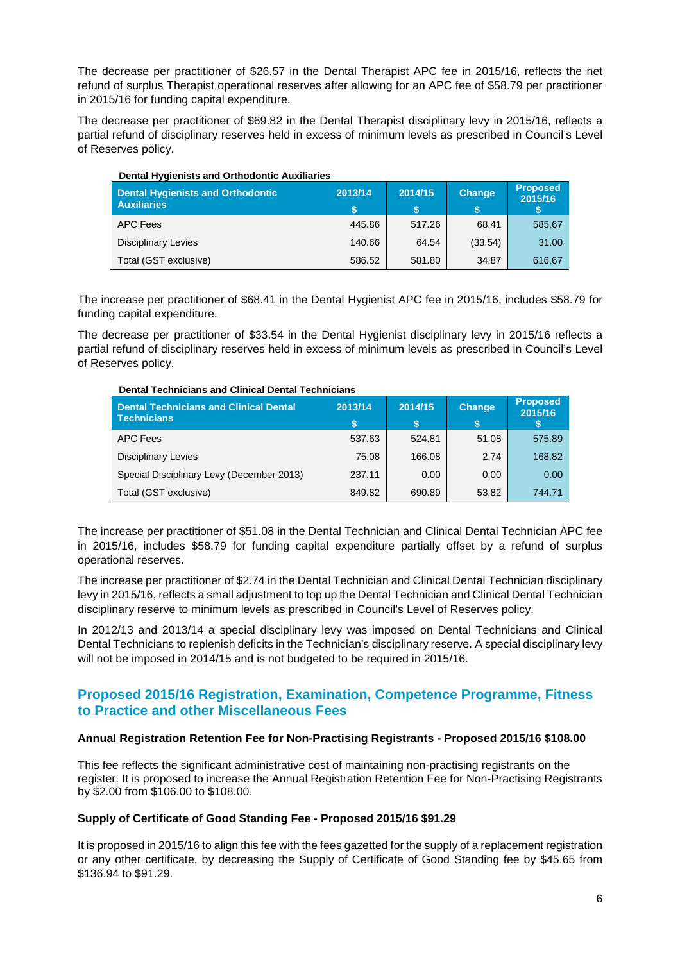The decrease per practitioner of \$26.57 in the Dental Therapist APC fee in 2015/16, reflects the net refund of surplus Therapist operational reserves after allowing for an APC fee of \$58.79 per practitioner in 2015/16 for funding capital expenditure.

The decrease per practitioner of \$69.82 in the Dental Therapist disciplinary levy in 2015/16, reflects a partial refund of disciplinary reserves held in excess of minimum levels as prescribed in Council's Level of Reserves policy.

| <b>Dental Hygienists and Orthodontic Auxiliaries</b> |         |         |               |                            |
|------------------------------------------------------|---------|---------|---------------|----------------------------|
| <b>Dental Hygienists and Orthodontic</b>             | 2013/14 | 2014/15 | <b>Change</b> | <b>Proposed</b><br>2015/16 |
| <b>Auxiliaries</b>                                   | \$      | S       | S.            | 'S                         |
| APC Fees                                             | 445.86  | 517.26  | 68.41         | 585.67                     |
| <b>Disciplinary Levies</b>                           | 140.66  | 64.54   | (33.54)       | 31.00                      |
| Total (GST exclusive)                                | 586.52  | 581.80  | 34.87         | 616.67                     |

The increase per practitioner of \$68.41 in the Dental Hygienist APC fee in 2015/16, includes \$58.79 for funding capital expenditure.

The decrease per practitioner of \$33.54 in the Dental Hygienist disciplinary levy in 2015/16 reflects a partial refund of disciplinary reserves held in excess of minimum levels as prescribed in Council's Level of Reserves policy.

| <b>Dental Technicians and Clinical Dental Technicians</b>           |         |         |               |                            |  |  |  |
|---------------------------------------------------------------------|---------|---------|---------------|----------------------------|--|--|--|
| <b>Dental Technicians and Clinical Dental</b><br><b>Technicians</b> | 2013/14 | 2014/15 | <b>Change</b> | <b>Proposed</b><br>2015/16 |  |  |  |
| APC Fees                                                            | 537.63  | 524.81  | 51.08         | 575.89                     |  |  |  |
| <b>Disciplinary Levies</b>                                          | 75.08   | 166.08  | 2.74          | 168.82                     |  |  |  |
| Special Disciplinary Levy (December 2013)                           | 237.11  | 0.00    | 0.00          | 0.00                       |  |  |  |
| Total (GST exclusive)                                               | 849.82  | 690.89  | 53.82         | 744.71                     |  |  |  |

The increase per practitioner of \$51.08 in the Dental Technician and Clinical Dental Technician APC fee in 2015/16, includes \$58.79 for funding capital expenditure partially offset by a refund of surplus operational reserves.

The increase per practitioner of \$2.74 in the Dental Technician and Clinical Dental Technician disciplinary levy in 2015/16, reflects a small adjustment to top up the Dental Technician and Clinical Dental Technician disciplinary reserve to minimum levels as prescribed in Council's Level of Reserves policy.

In 2012/13 and 2013/14 a special disciplinary levy was imposed on Dental Technicians and Clinical Dental Technicians to replenish deficits in the Technician's disciplinary reserve. A special disciplinary levy will not be imposed in 2014/15 and is not budgeted to be required in 2015/16.

## **Proposed 2015/16 Registration, Examination, Competence Programme, Fitness to Practice and other Miscellaneous Fees**

## **Annual Registration Retention Fee for Non-Practising Registrants - Proposed 2015/16 \$108.00**

This fee reflects the significant administrative cost of maintaining non-practising registrants on the register. It is proposed to increase the Annual Registration Retention Fee for Non-Practising Registrants by \$2.00 from \$106.00 to \$108.00.

## **Supply of Certificate of Good Standing Fee - Proposed 2015/16 \$91.29**

It is proposed in 2015/16 to align this fee with the fees gazetted for the supply of a replacement registration or any other certificate, by decreasing the Supply of Certificate of Good Standing fee by \$45.65 from \$136.94 to \$91.29.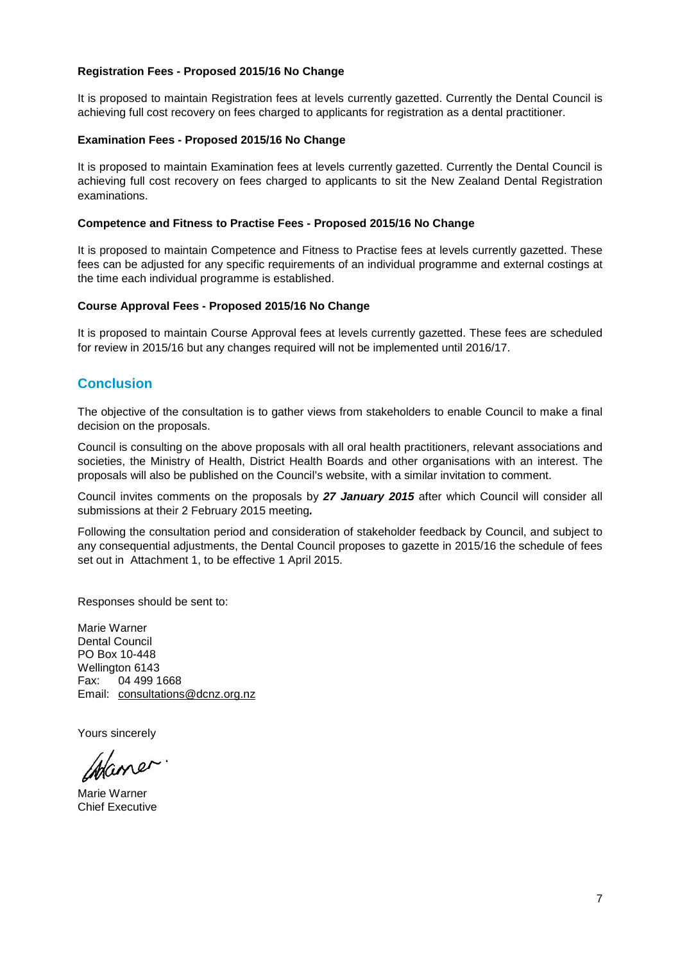## **Registration Fees - Proposed 2015/16 No Change**

It is proposed to maintain Registration fees at levels currently gazetted. Currently the Dental Council is achieving full cost recovery on fees charged to applicants for registration as a dental practitioner.

## **Examination Fees - Proposed 2015/16 No Change**

It is proposed to maintain Examination fees at levels currently gazetted. Currently the Dental Council is achieving full cost recovery on fees charged to applicants to sit the New Zealand Dental Registration examinations.

## **Competence and Fitness to Practise Fees - Proposed 2015/16 No Change**

It is proposed to maintain Competence and Fitness to Practise fees at levels currently gazetted. These fees can be adjusted for any specific requirements of an individual programme and external costings at the time each individual programme is established.

## **Course Approval Fees - Proposed 2015/16 No Change**

It is proposed to maintain Course Approval fees at levels currently gazetted. These fees are scheduled for review in 2015/16 but any changes required will not be implemented until 2016/17.

## **Conclusion**

The objective of the consultation is to gather views from stakeholders to enable Council to make a final decision on the proposals.

Council is consulting on the above proposals with all oral health practitioners, relevant associations and societies, the Ministry of Health, District Health Boards and other organisations with an interest. The proposals will also be published on the Council's website, with a similar invitation to comment.

Council invites comments on the proposals by **27 January 2015** after which Council will consider all submissions at their 2 February 2015 meeting**.** 

Following the consultation period and consideration of stakeholder feedback by Council, and subject to any consequential adjustments, the Dental Council proposes to gazette in 2015/16 the schedule of fees set out in Attachment 1, to be effective 1 April 2015.

Responses should be sent to:

Marie Warner Dental Council PO Box 10-448 Wellington 6143 Fax: 04 499 1668 Email: consultations@dcnz.org.nz

Yours sincerely

Chane

Marie Warner Chief Executive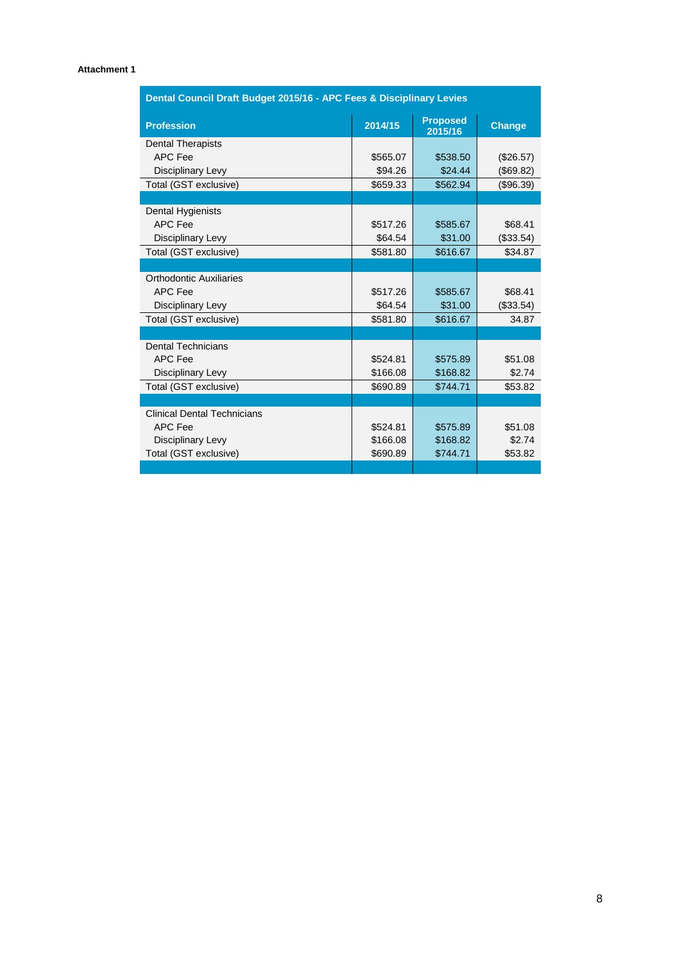## **Attachment 1**

| Dental Council Draft Budget 2015/16 - APC Fees & Disciplinary Levies |          |               |           |  |  |
|----------------------------------------------------------------------|----------|---------------|-----------|--|--|
| <b>Profession</b>                                                    | 2014/15  | <b>Change</b> |           |  |  |
| <b>Dental Therapists</b>                                             |          |               |           |  |  |
| APC Fee                                                              | \$565.07 | \$538.50      | (\$26.57) |  |  |
| Disciplinary Levy                                                    | \$94.26  | \$24.44       | (\$69.82) |  |  |
| Total (GST exclusive)                                                | \$659.33 | \$562.94      | (\$96.39) |  |  |
|                                                                      |          |               |           |  |  |
| Dental Hygienists                                                    |          |               |           |  |  |
| <b>APC Fee</b>                                                       | \$517.26 | \$585.67      | \$68.41   |  |  |
| Disciplinary Levy                                                    | \$64.54  | \$31.00       | (\$33.54) |  |  |
| Total (GST exclusive)                                                | \$581.80 | \$616.67      | \$34.87   |  |  |
|                                                                      |          |               |           |  |  |
| Orthodontic Auxiliaries                                              |          |               |           |  |  |
| APC Fee                                                              | \$517.26 | \$585.67      | \$68.41   |  |  |
| Disciplinary Levy                                                    | \$64.54  | \$31.00       | (\$33.54) |  |  |
| Total (GST exclusive)                                                | \$581.80 | \$616.67      | 34.87     |  |  |
|                                                                      |          |               |           |  |  |
| <b>Dental Technicians</b>                                            |          |               |           |  |  |
| <b>APC Fee</b>                                                       | \$524.81 | \$575.89      | \$51.08   |  |  |
| Disciplinary Levy                                                    | \$166.08 | \$168.82      | \$2.74    |  |  |
| Total (GST exclusive)                                                | \$690.89 | \$744.71      | \$53.82   |  |  |
|                                                                      |          |               |           |  |  |
| <b>Clinical Dental Technicians</b>                                   |          |               |           |  |  |
| APC Fee                                                              | \$524.81 | \$575.89      | \$51.08   |  |  |
| Disciplinary Levy                                                    | \$166.08 | \$168.82      | \$2.74    |  |  |
| Total (GST exclusive)                                                | \$690.89 | \$744.71      | \$53.82   |  |  |
|                                                                      |          |               |           |  |  |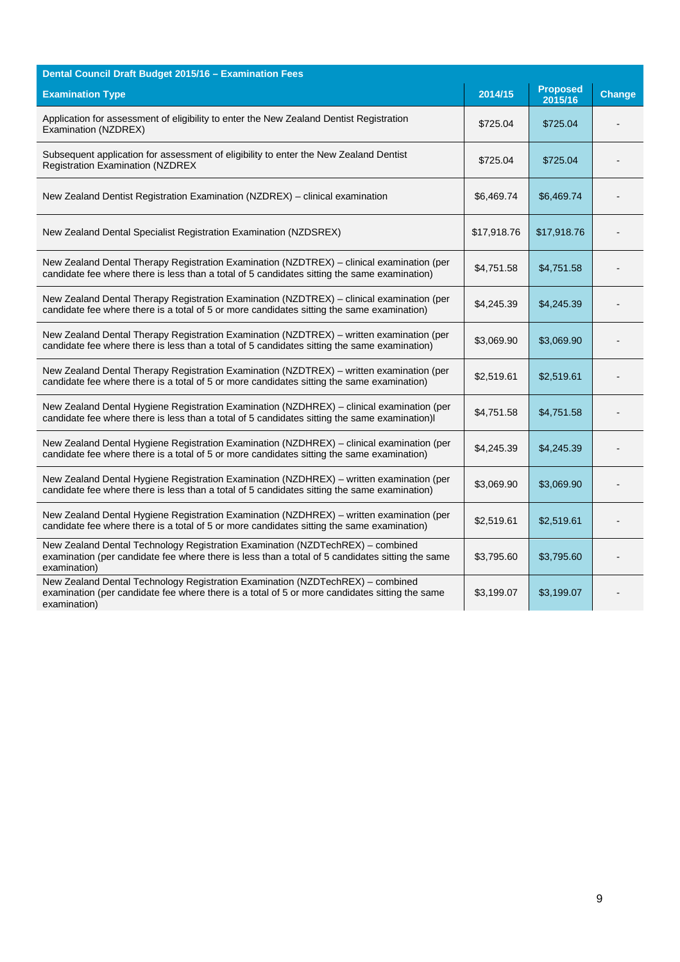| Dental Council Draft Budget 2015/16 - Examination Fees                                                                                                                                             |             |                            |               |  |
|----------------------------------------------------------------------------------------------------------------------------------------------------------------------------------------------------|-------------|----------------------------|---------------|--|
| <b>Examination Type</b>                                                                                                                                                                            | 2014/15     | <b>Proposed</b><br>2015/16 | <b>Change</b> |  |
| Application for assessment of eligibility to enter the New Zealand Dentist Registration<br>Examination (NZDREX)                                                                                    | \$725.04    | \$725.04                   |               |  |
| Subsequent application for assessment of eligibility to enter the New Zealand Dentist<br><b>Registration Examination (NZDREX</b>                                                                   | \$725.04    | \$725.04                   |               |  |
| New Zealand Dentist Registration Examination (NZDREX) - clinical examination                                                                                                                       | \$6,469.74  | \$6,469.74                 |               |  |
| New Zealand Dental Specialist Registration Examination (NZDSREX)                                                                                                                                   | \$17,918.76 | \$17,918.76                |               |  |
| New Zealand Dental Therapy Registration Examination (NZDTREX) - clinical examination (per<br>candidate fee where there is less than a total of 5 candidates sitting the same examination)          | \$4,751.58  | \$4,751.58                 |               |  |
| New Zealand Dental Therapy Registration Examination (NZDTREX) - clinical examination (per<br>candidate fee where there is a total of 5 or more candidates sitting the same examination)            | \$4,245.39  | \$4,245.39                 |               |  |
| New Zealand Dental Therapy Registration Examination (NZDTREX) - written examination (per<br>candidate fee where there is less than a total of 5 candidates sitting the same examination)           | \$3,069.90  | \$3,069.90                 |               |  |
| New Zealand Dental Therapy Registration Examination (NZDTREX) - written examination (per<br>candidate fee where there is a total of 5 or more candidates sitting the same examination)             | \$2,519.61  | \$2,519.61                 |               |  |
| New Zealand Dental Hygiene Registration Examination (NZDHREX) - clinical examination (per<br>candidate fee where there is less than a total of 5 candidates sitting the same examination)I         | \$4,751.58  | \$4,751.58                 |               |  |
| New Zealand Dental Hygiene Registration Examination (NZDHREX) - clinical examination (per<br>candidate fee where there is a total of 5 or more candidates sitting the same examination)            | \$4,245.39  | \$4,245.39                 |               |  |
| New Zealand Dental Hygiene Registration Examination (NZDHREX) - written examination (per<br>candidate fee where there is less than a total of 5 candidates sitting the same examination)           | \$3,069.90  | \$3,069.90                 |               |  |
| New Zealand Dental Hygiene Registration Examination (NZDHREX) – written examination (per<br>candidate fee where there is a total of 5 or more candidates sitting the same examination)             | \$2,519.61  | \$2,519.61                 |               |  |
| New Zealand Dental Technology Registration Examination (NZDTechREX) - combined<br>examination (per candidate fee where there is less than a total of 5 candidates sitting the same<br>examination) | \$3,795.60  | \$3,795.60                 |               |  |
| New Zealand Dental Technology Registration Examination (NZDTechREX) - combined<br>examination (per candidate fee where there is a total of 5 or more candidates sitting the same<br>examination)   | \$3,199.07  | \$3,199.07                 |               |  |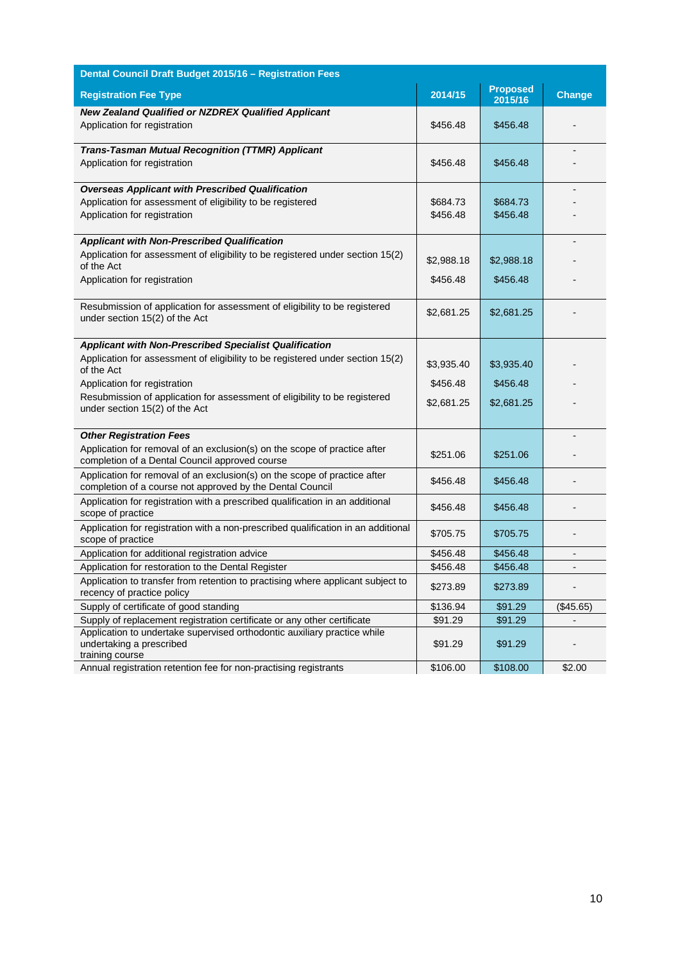| Dental Council Draft Budget 2015/16 - Registration Fees                                                                                                                            |                        |                            |                |
|------------------------------------------------------------------------------------------------------------------------------------------------------------------------------------|------------------------|----------------------------|----------------|
| <b>Registration Fee Type</b>                                                                                                                                                       | 2014/15                | <b>Proposed</b><br>2015/16 | <b>Change</b>  |
| <b>New Zealand Qualified or NZDREX Qualified Applicant</b><br>Application for registration                                                                                         | \$456.48               | \$456.48                   |                |
| <b>Trans-Tasman Mutual Recognition (TTMR) Applicant</b><br>Application for registration                                                                                            | \$456.48               | \$456.48                   |                |
| <b>Overseas Applicant with Prescribed Qualification</b><br>Application for assessment of eligibility to be registered<br>Application for registration                              | \$684.73<br>\$456.48   | \$684.73<br>\$456.48       |                |
| <b>Applicant with Non-Prescribed Qualification</b><br>Application for assessment of eligibility to be registered under section 15(2)<br>of the Act<br>Application for registration | \$2,988.18<br>\$456.48 | \$2,988.18<br>\$456.48     |                |
| Resubmission of application for assessment of eligibility to be registered<br>under section 15(2) of the Act                                                                       | \$2,681.25             | \$2,681.25                 |                |
| <b>Applicant with Non-Prescribed Specialist Qualification</b>                                                                                                                      |                        |                            |                |
| Application for assessment of eligibility to be registered under section 15(2)<br>of the Act                                                                                       | \$3,935.40             | \$3,935.40                 |                |
| Application for registration                                                                                                                                                       | \$456.48               | \$456.48                   |                |
| Resubmission of application for assessment of eligibility to be registered<br>under section 15(2) of the Act                                                                       | \$2,681.25             | \$2,681.25                 |                |
| <b>Other Registration Fees</b>                                                                                                                                                     |                        |                            |                |
| Application for removal of an exclusion(s) on the scope of practice after<br>completion of a Dental Council approved course                                                        | \$251.06               | \$251.06                   |                |
| Application for removal of an exclusion(s) on the scope of practice after<br>completion of a course not approved by the Dental Council                                             | \$456.48               | \$456.48                   |                |
| Application for registration with a prescribed qualification in an additional<br>scope of practice                                                                                 | \$456.48               | \$456.48                   |                |
| Application for registration with a non-prescribed qualification in an additional<br>scope of practice                                                                             | \$705.75               | \$705.75                   |                |
| Application for additional registration advice                                                                                                                                     | \$456.48               | \$456.48                   | $\blacksquare$ |
| Application for restoration to the Dental Register                                                                                                                                 | \$456.48               | \$456.48                   |                |
| Application to transfer from retention to practising where applicant subject to<br>recency of practice policy                                                                      | \$273.89               | \$273.89                   |                |
| Supply of certificate of good standing                                                                                                                                             | \$136.94               | \$91.29                    | (\$45.65)      |
| Supply of replacement registration certificate or any other certificate                                                                                                            | \$91.29                | \$91.29                    |                |
| Application to undertake supervised orthodontic auxiliary practice while<br>undertaking a prescribed<br>training course                                                            | \$91.29                | \$91.29                    |                |
| Annual registration retention fee for non-practising registrants                                                                                                                   | \$106.00               | \$108.00                   | \$2.00         |